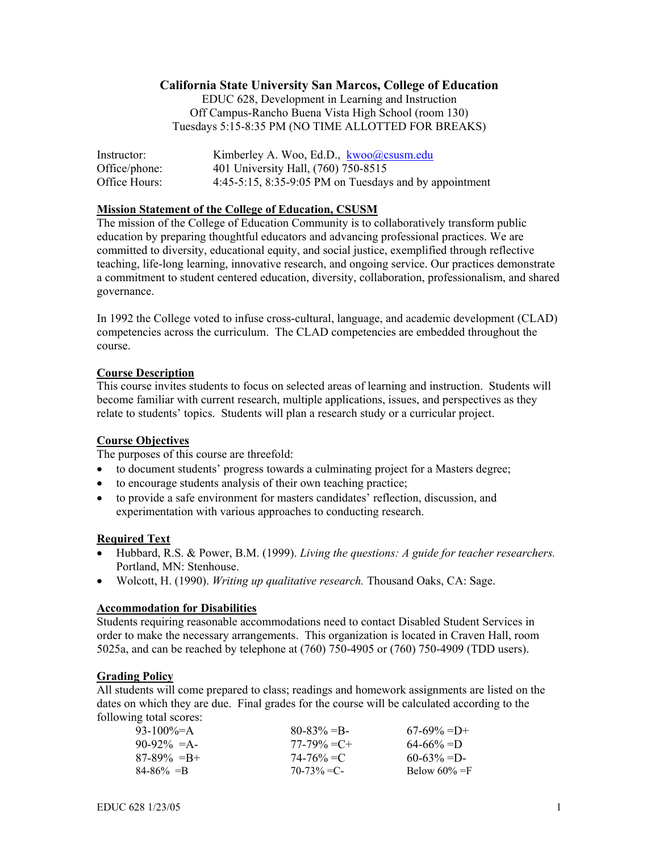#### **California State University San Marcos, College of Education**

EDUC 628, Development in Learning and Instruction Off Campus-Rancho Buena Vista High School (room 130) Tuesdays 5:15-8:35 PM (NO TIME ALLOTTED FOR BREAKS)

| Instructor:   | Kimberley A. Woo, Ed.D., kwoo@csusm.edu                     |
|---------------|-------------------------------------------------------------|
| Office/phone: | 401 University Hall, (760) 750-8515                         |
| Office Hours: | $4:45-5:15$ , $8:35-9:05$ PM on Tuesdays and by appointment |

#### **Mission Statement of the College of Education, CSUSM**

The mission of the College of Education Community is to collaboratively transform public education by preparing thoughtful educators and advancing professional practices. We are committed to diversity, educational equity, and social justice, exemplified through reflective teaching, life-long learning, innovative research, and ongoing service. Our practices demonstrate a commitment to student centered education, diversity, collaboration, professionalism, and shared governance.

In 1992 the College voted to infuse cross-cultural, language, and academic development (CLAD) competencies across the curriculum. The CLAD competencies are embedded throughout the course.

#### **Course Description**

This course invites students to focus on selected areas of learning and instruction. Students will become familiar with current research, multiple applications, issues, and perspectives as they relate to students' topics. Students will plan a research study or a curricular project.

#### **Course Objectives**

The purposes of this course are threefold:

- to document students' progress towards a culminating project for a Masters degree;
- to encourage students analysis of their own teaching practice;
- to provide a safe environment for masters candidates' reflection, discussion, and experimentation with various approaches to conducting research.

#### **Required Text**

- Hubbard, R.S. & Power, B.M. (1999). *Living the questions: A guide for teacher researchers.* Portland, MN: Stenhouse.
- Wolcott, H. (1990). *Writing up qualitative research.* Thousand Oaks, CA: Sage.

#### **Accommodation for Disabilities**

Students requiring reasonable accommodations need to contact Disabled Student Services in order to make the necessary arrangements. This organization is located in Craven Hall, room 5025a, and can be reached by telephone at (760) 750-4905 or (760) 750-4909 (TDD users).

#### **Grading Policy**

All students will come prepared to class; readings and homework assignments are listed on the dates on which they are due. Final grades for the course will be calculated according to the following total scores:

| 93-100\%=A      | $80 - 83\% = B$ | $67-69\% = D+$   |
|-----------------|-----------------|------------------|
| $90-92\% = A$   | $77-79\% = C +$ | $64 - 66\% = D$  |
| $87-89\% = B +$ | 74-76% = C      | $60 - 63\% = D$  |
| $84 - 86\% = B$ | $70 - 73\% = C$ | Below $60\% = F$ |
|                 |                 |                  |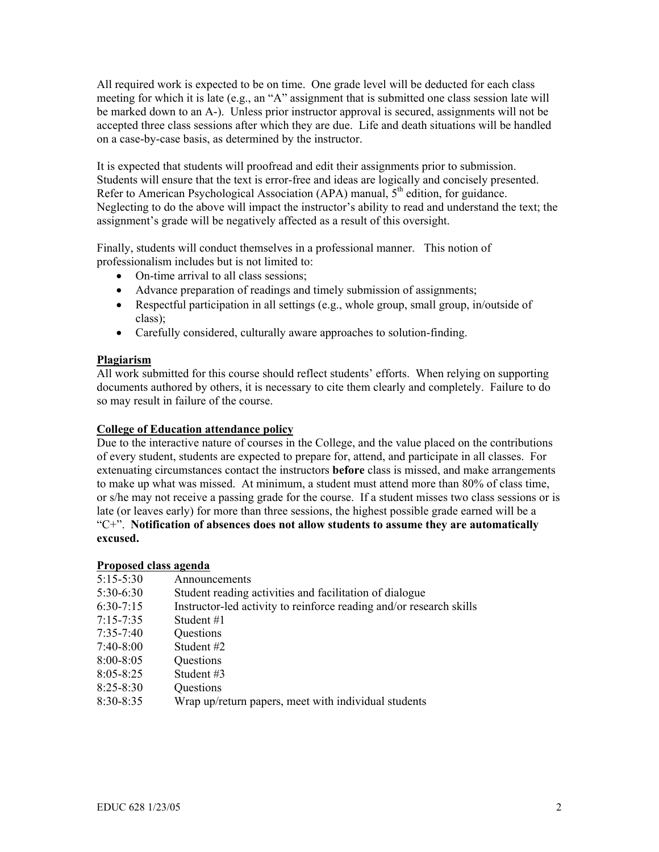All required work is expected to be on time. One grade level will be deducted for each class meeting for which it is late (e.g., an "A" assignment that is submitted one class session late will be marked down to an A-). Unless prior instructor approval is secured, assignments will not be accepted three class sessions after which they are due. Life and death situations will be handled on a case-by-case basis, as determined by the instructor.

It is expected that students will proofread and edit their assignments prior to submission. Students will ensure that the text is error-free and ideas are logically and concisely presented. Refer to American Psychological Association (APA) manual, 5<sup>th</sup> edition, for guidance. Neglecting to do the above will impact the instructor's ability to read and understand the text; the assignment's grade will be negatively affected as a result of this oversight.

Finally, students will conduct themselves in a professional manner. This notion of professionalism includes but is not limited to:

- On-time arrival to all class sessions:
- Advance preparation of readings and timely submission of assignments;
- Respectful participation in all settings (e.g., whole group, small group, in/outside of class);
- Carefully considered, culturally aware approaches to solution-finding.

#### **Plagiarism**

All work submitted for this course should reflect students' efforts. When relying on supporting documents authored by others, it is necessary to cite them clearly and completely. Failure to do so may result in failure of the course.

#### **College of Education attendance policy**

Due to the interactive nature of courses in the College, and the value placed on the contributions of every student, students are expected to prepare for, attend, and participate in all classes. For extenuating circumstances contact the instructors **before** class is missed, and make arrangements to make up what was missed. At minimum, a student must attend more than 80% of class time, or s/he may not receive a passing grade for the course. If a student misses two class sessions or is late (or leaves early) for more than three sessions, the highest possible grade earned will be a "C+". **Notification of absences does not allow students to assume they are automatically excused.** 

#### **Proposed class agenda**

| $5:15 - 5:30$ | Announcements                                                       |
|---------------|---------------------------------------------------------------------|
| $5:30-6:30$   | Student reading activities and facilitation of dialogue             |
| $6:30-7:15$   | Instructor-led activity to reinforce reading and/or research skills |
| $7:15 - 7:35$ | Student #1                                                          |
| $7:35 - 7:40$ | Questions                                                           |
| $7:40-8:00$   | Student #2                                                          |
| $8:00 - 8:05$ | Questions                                                           |
| $8:05 - 8:25$ | Student #3                                                          |
| $8:25 - 8:30$ | Questions                                                           |
| $8:30 - 8:35$ | Wrap up/return papers, meet with individual students                |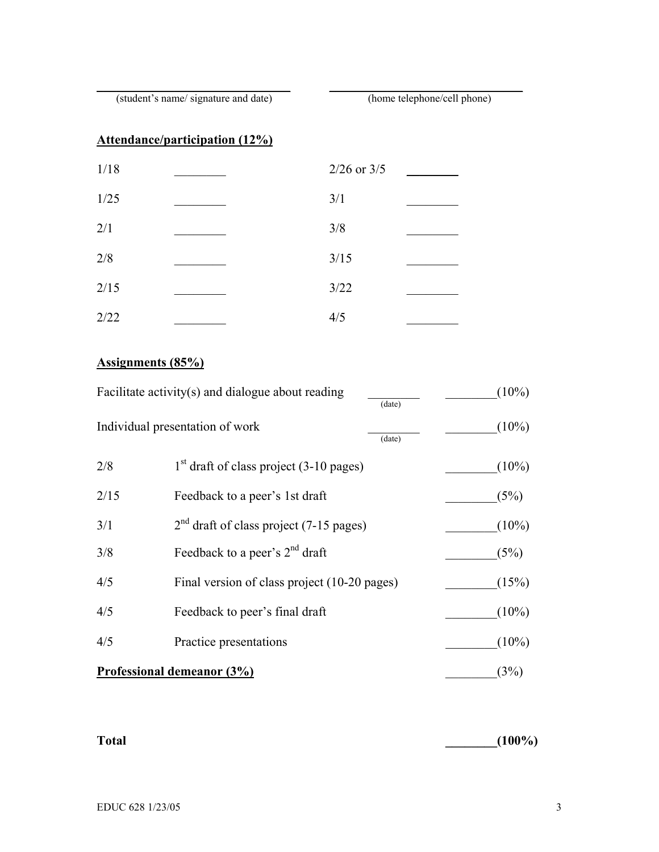\_\_\_\_\_\_\_\_\_\_\_\_\_\_\_\_\_\_\_\_\_\_\_\_\_\_\_\_\_\_ \_\_\_\_\_\_\_\_\_\_\_\_\_\_\_\_\_\_\_\_\_\_\_\_\_\_\_\_\_\_ (student's name/ signature and date) (home telephone/cell phone)

## **Attendance/participation (12%)**

| 1/18 | $2/26$ or $3/5$ |
|------|-----------------|
| 1/25 | 3/1             |
| 2/1  | 3/8             |
| 2/8  | $3/15$          |
| 2/15 | 3/22            |
| 2/22 | 4/5             |

### **Assignments (85%)**

| Facilitate activity(s) and dialogue about reading<br>(date) |                                              | $(10\%)$ |
|-------------------------------------------------------------|----------------------------------------------|----------|
|                                                             | Individual presentation of work<br>(date)    | $(10\%)$ |
| 2/8                                                         | $1st$ draft of class project (3-10 pages)    | $(10\%)$ |
| 2/15                                                        | Feedback to a peer's 1st draft               | (5%)     |
| 3/1                                                         | $2nd$ draft of class project (7-15 pages)    | $(10\%)$ |
| 3/8                                                         | Feedback to a peer's $2nd$ draft             | (5%)     |
| 4/5                                                         | Final version of class project (10-20 pages) | (15%)    |
| 4/5                                                         | Feedback to peer's final draft               | $(10\%)$ |
| 4/5                                                         | Practice presentations                       | $(10\%)$ |
| Professional demeanor (3%)                                  |                                              | (3%)     |

**Total \_\_\_\_\_\_\_\_(100%)**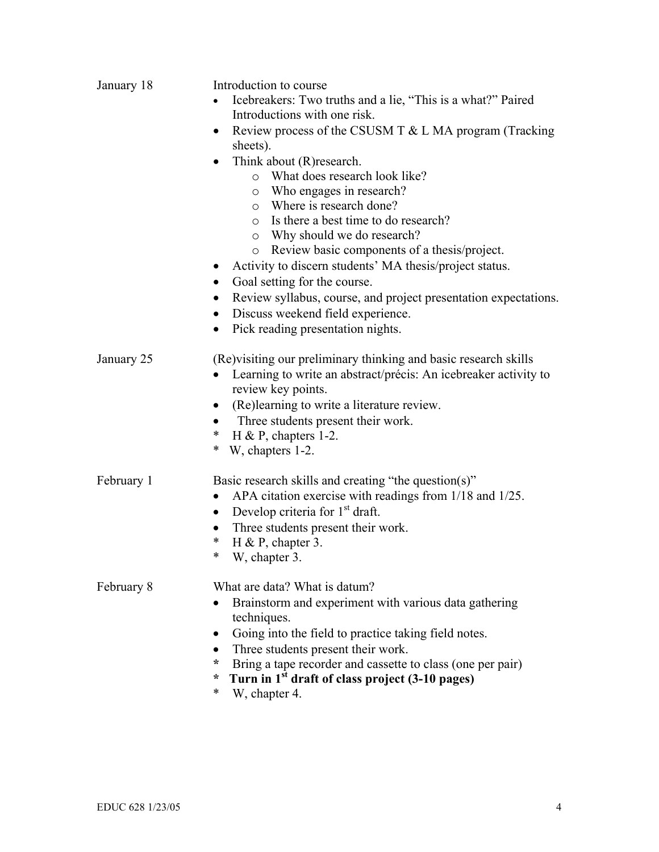| January 18 | Introduction to course<br>Icebreakers: Two truths and a lie, "This is a what?" Paired<br>Introductions with one risk.<br>Review process of the CSUSM T $&$ L MA program (Tracking<br>$\bullet$<br>sheets).<br>Think about (R) research.<br>$\bullet$<br>o What does research look like?<br>o Who engages in research?<br>o Where is research done?<br>Is there a best time to do research?<br>$\circ$<br>o Why should we do research?<br>o Review basic components of a thesis/project.<br>Activity to discern students' MA thesis/project status.<br>$\bullet$<br>Goal setting for the course.<br>$\bullet$<br>Review syllabus, course, and project presentation expectations.<br>$\bullet$<br>Discuss weekend field experience.<br>$\bullet$<br>Pick reading presentation nights.<br>$\bullet$ |
|------------|--------------------------------------------------------------------------------------------------------------------------------------------------------------------------------------------------------------------------------------------------------------------------------------------------------------------------------------------------------------------------------------------------------------------------------------------------------------------------------------------------------------------------------------------------------------------------------------------------------------------------------------------------------------------------------------------------------------------------------------------------------------------------------------------------|
| January 25 | (Re) visiting our preliminary thinking and basic research skills<br>Learning to write an abstract/précis: An icebreaker activity to<br>$\bullet$<br>review key points.<br>(Re)learning to write a literature review.<br>$\bullet$<br>Three students present their work.<br>H & P, chapters 1-2.<br>∗<br>$\ast$<br>W, chapters 1-2.                                                                                                                                                                                                                                                                                                                                                                                                                                                               |
| February 1 | Basic research skills and creating "the question(s)"<br>APA citation exercise with readings from 1/18 and 1/25.<br>$\bullet$<br>Develop criteria for $1st$ draft.<br>$\bullet$<br>Three students present their work.<br>$\bullet$<br>∗<br>H & P, chapter 3.<br>W, chapter 3.<br>∗                                                                                                                                                                                                                                                                                                                                                                                                                                                                                                                |
| February 8 | What are data? What is datum?<br>Brainstorm and experiment with various data gathering<br>techniques.<br>Going into the field to practice taking field notes.<br>Three students present their work.<br>Bring a tape recorder and cassette to class (one per pair)<br>÷<br>Turn in 1 <sup>st</sup> draft of class project (3-10 pages)<br>÷<br>*<br>W, chapter 4.                                                                                                                                                                                                                                                                                                                                                                                                                                 |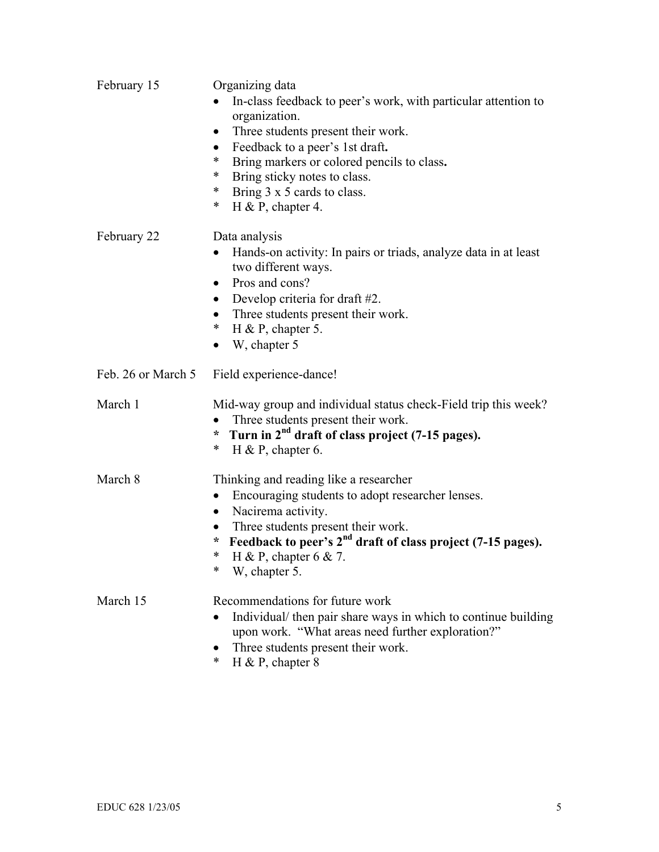| February 15        | Organizing data<br>In-class feedback to peer's work, with particular attention to<br>organization.<br>Three students present their work.<br>Feedback to a peer's 1st draft.<br>$\bullet$<br>*<br>Bring markers or colored pencils to class.<br>*<br>Bring sticky notes to class.<br>$\ast$<br>Bring 3 x 5 cards to class.<br>*<br>H & P, chapter 4. |
|--------------------|-----------------------------------------------------------------------------------------------------------------------------------------------------------------------------------------------------------------------------------------------------------------------------------------------------------------------------------------------------|
| February 22        | Data analysis<br>Hands-on activity: In pairs or triads, analyze data in at least<br>$\bullet$<br>two different ways.<br>Pros and cons?<br>$\bullet$<br>Develop criteria for draft #2.<br>$\bullet$<br>Three students present their work.<br>$\bullet$<br>∗<br>H & P, chapter 5.<br>W, chapter 5                                                     |
| Feb. 26 or March 5 | Field experience-dance!                                                                                                                                                                                                                                                                                                                             |
| March 1            | Mid-way group and individual status check-Field trip this week?<br>Three students present their work.<br>$\bullet$<br>* Turn in $2^{nd}$ draft of class project (7-15 pages).<br>*<br>H & P, chapter 6.                                                                                                                                             |
| March 8            | Thinking and reading like a researcher<br>Encouraging students to adopt researcher lenses.<br>Nacirema activity.<br>$\bullet$<br>Three students present their work.<br>$\bullet$<br>Feedback to peer's 2 <sup>nd</sup> draft of class project (7-15 pages).<br>*<br>*<br>H & P, chapter $6 & 7$ .<br>*<br>W, chapter 5.                             |
| March 15           | Recommendations for future work<br>Individual/ then pair share ways in which to continue building<br>upon work. "What areas need further exploration?"<br>Three students present their work.<br>*<br>H & P, chapter $8$                                                                                                                             |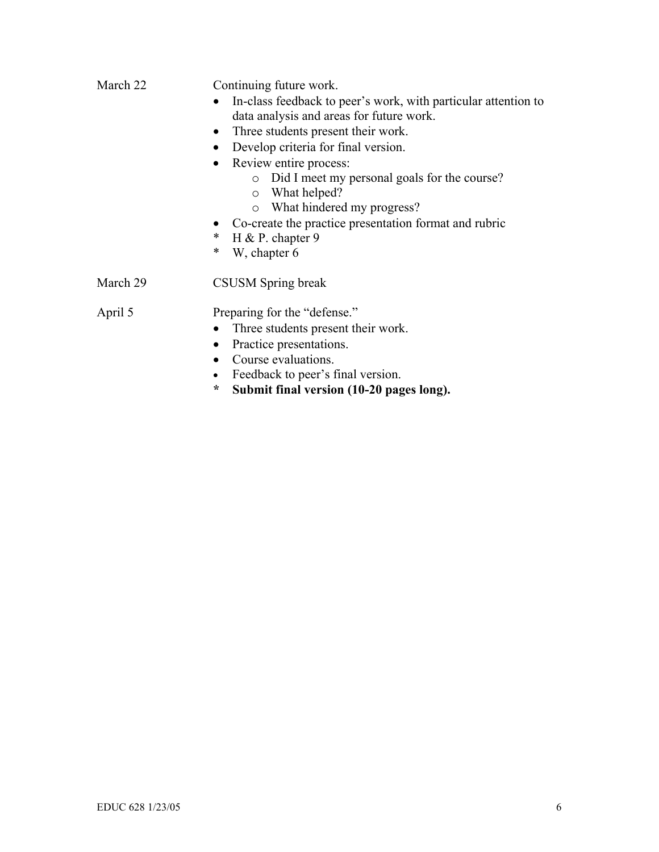| March 22 | Continuing future work.                                                                                    |  |  |
|----------|------------------------------------------------------------------------------------------------------------|--|--|
|          | In-class feedback to peer's work, with particular attention to<br>data analysis and areas for future work. |  |  |
|          | Three students present their work.<br>$\bullet$                                                            |  |  |
|          | Develop criteria for final version.<br>$\bullet$                                                           |  |  |
|          | Review entire process:<br>$\bullet$                                                                        |  |  |
|          | Did I meet my personal goals for the course?<br>$\circ$<br>What helped?<br>$\circ$                         |  |  |
|          | What hindered my progress?<br>$\circ$                                                                      |  |  |
|          | Co-create the practice presentation format and rubric                                                      |  |  |
|          | $\ast$<br>H & P. chapter 9                                                                                 |  |  |
|          | $\ast$<br>W, chapter 6                                                                                     |  |  |
| March 29 | CSUSM Spring break                                                                                         |  |  |
| April 5  | Preparing for the "defense."                                                                               |  |  |
|          | Three students present their work.                                                                         |  |  |
|          | Practice presentations.<br>$\bullet$                                                                       |  |  |
|          | Course evaluations.<br>$\bullet$                                                                           |  |  |
|          | Feedback to peer's final version.                                                                          |  |  |
|          | $\ast$<br>Submit final version (10-20 pages long).                                                         |  |  |
|          |                                                                                                            |  |  |
|          |                                                                                                            |  |  |